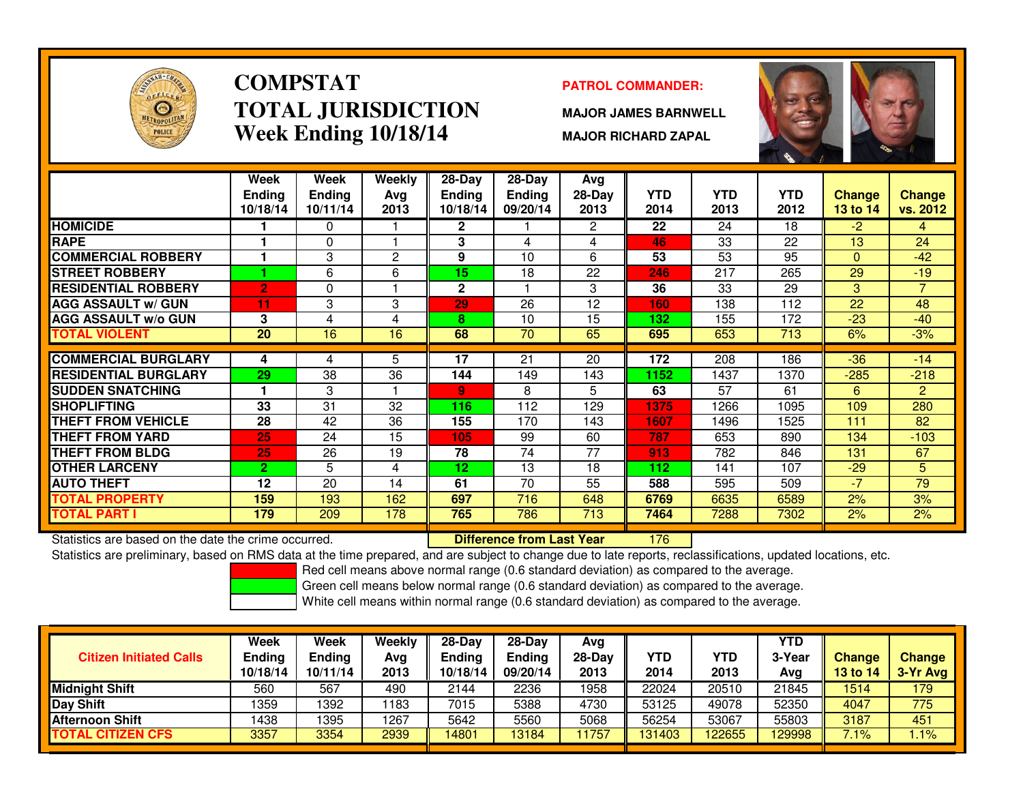

# **COMPSTATTOTAL JURISDICTIONWeek Ending 10/18/14**

### **PATROL COMMANDER:**

**MAJOR JAMES BARNWELL**

**MAJOR RICHARD ZAPAL**



|                             | Week            | <b>Week</b>   | Weekly         | $28$ -Day       | $28 - Day$      | Avg          |            |            |            |                 |                |
|-----------------------------|-----------------|---------------|----------------|-----------------|-----------------|--------------|------------|------------|------------|-----------------|----------------|
|                             | <b>Ending</b>   | <b>Ending</b> | Avg            | <b>Ending</b>   | <b>Ending</b>   | $28-Day$     | <b>YTD</b> | <b>YTD</b> | <b>YTD</b> | Change          | <b>Change</b>  |
|                             | 10/18/14        | 10/11/14      | 2013           | 10/18/14        | 09/20/14        | 2013         | 2014       | 2013       | 2012       | <b>13 to 14</b> | vs. 2012       |
| <b>HOMICIDE</b>             |                 | 0             |                | 2               |                 | $\mathbf{2}$ | 22         | 24         | 18         | $-2$            | 4              |
| <b>RAPE</b>                 |                 | $\Omega$      |                | 3               | 4               | 4            | 46         | 33         | 22         | 13              | 24             |
| <b>COMMERCIAL ROBBERY</b>   |                 | 3             | $\overline{2}$ | 9               | 10              | 6            | 53         | 53         | 95         | $\Omega$        | $-42$          |
| <b>STREET ROBBERY</b>       |                 | 6             | 6              | 15              | 18              | 22           | 246        | 217        | 265        | 29              | $-19$          |
| <b>RESIDENTIAL ROBBERY</b>  | $\overline{2}$  | 0             |                | $\mathbf{2}$    |                 | 3            | 36         | 33         | 29         | 3               | 7              |
| <b>AGG ASSAULT w/ GUN</b>   | 11              | 3             | 3              | 29              | 26              | 12           | 160        | 138        | 112        | 22              | 48             |
| <b>AGG ASSAULT w/o GUN</b>  | 3               | 4             | 4              | 8               | 10              | 15           | 132        | 155        | 172        | $-23$           | $-40$          |
| <b>TOTAL VIOLENT</b>        | $\overline{20}$ | 16            | 16             | 68              | $\overline{70}$ | 65           | 695        | 653        | 713        | 6%              | $-3%$          |
|                             |                 |               | 5              |                 |                 |              |            |            |            |                 |                |
| <b>COMMERCIAL BURGLARY</b>  | 4               | 4             |                | 17              | 21              | 20           | 172        | 208        | 186        | $-36$           | $-14$          |
| <b>RESIDENTIAL BURGLARY</b> | 29              | 38            | 36             | 144             | 149             | 143          | 1152       | 1437       | 1370       | $-285$          | $-218$         |
| <b>SUDDEN SNATCHING</b>     |                 | 3             |                | 9               | 8               | 5            | 63         | 57         | 61         | 6               | $\overline{2}$ |
| <b>ISHOPLIFTING</b>         | 33              | 31            | 32             | 116             | 112             | 129          | 1375       | 1266       | 1095       | 109             | 280            |
| <b>THEFT FROM VEHICLE</b>   | 28              | 42            | 36             | 155             | 170             | 143          | 1607       | 1496       | 1525       | 111             | 82             |
| <b>THEFT FROM YARD</b>      | 25              | 24            | 15             | 105             | 99              | 60           | 787        | 653        | 890        | 134             | $-103$         |
| <b>THEFT FROM BLDG</b>      | 25              | 26            | 19             | 78              | 74              | 77           | 913        | 782        | 846        | 131             | 67             |
| <b>OTHER LARCENY</b>        | $\overline{2}$  | 5             | 4              | 12 <sub>2</sub> | 13              | 18           | 112        | 141        | 107        | $-29$           | 5              |
| <b>AUTO THEFT</b>           | 12              | 20            | 14             | 61              | 70              | 55           | 588        | 595        | 509        | $-7$            | 79             |
| <b>TOTAL PROPERTY</b>       | 159             | 193           | 162            | 697             | 716             | 648          | 6769       | 6635       | 6589       | 2%              | 3%             |
| <b>TOTAL PART I</b>         | 179             | 209           | 178            | 765             | 786             | 713          | 7464       | 7288       | 7302       | 2%              | 2%             |

Statistics are based on the date the crime occurred. **Difference from Last Year** 

<sup>176</sup>

Statistics are preliminary, based on RMS data at the time prepared, and are subject to change due to late reports, reclassifications, updated locations, etc.

Red cell means above normal range (0.6 standard deviation) as compared to the average.

Green cell means below normal range (0.6 standard deviation) as compared to the average.

| <b>Citizen Initiated Calls</b> | Week<br><b>Ending</b><br>10/18/14 | <b>Week</b><br>Endina<br>10/11/14 | Weekly<br>Avg<br>2013 | $28-Dav$<br>Ending<br>10/18/14 | $28-Dav$<br><b>Ending</b><br>09/20/14 | Avg<br>$28-Day$<br>2013 | YTD<br>2014 | YTD<br>2013 | <b>YTD</b><br>3-Year<br>Avg | <b>Change</b><br><b>13 to 14</b> | Change<br>$3-Yr$ Avg |
|--------------------------------|-----------------------------------|-----------------------------------|-----------------------|--------------------------------|---------------------------------------|-------------------------|-------------|-------------|-----------------------------|----------------------------------|----------------------|
| <b>Midnight Shift</b>          | 560                               | 567                               | 490                   | 2144                           | 2236                                  | 1958                    | 22024       | 20510       | 21845                       | 1514                             | 179                  |
| Day Shift                      | 1359                              | 1392                              | 183                   | 7015                           | 5388                                  | 4730                    | 53125       | 49078       | 52350                       | 4047                             | 775                  |
| <b>Afternoon Shift</b>         | 1438                              | 1395                              | 1267                  | 5642                           | 5560                                  | 5068                    | 56254       | 53067       | 55803                       | 3187                             | 451                  |
| <b>TOTAL CITIZEN CFS</b>       | 3357                              | 3354                              | 2939                  | 14801                          | 13184                                 | 1757                    | 131403      | 122655      | 129998                      | 7.1%                             | $.1\%$               |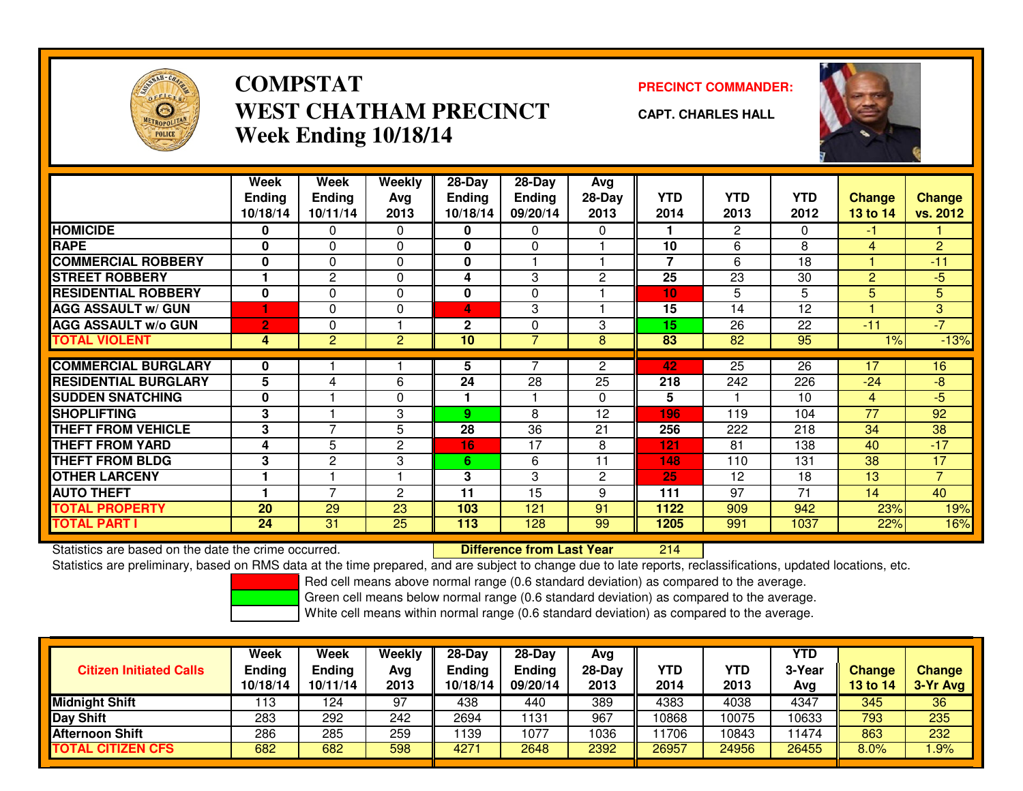

# **COMPSTATWEST CHATHAM PRECINCTWeek Ending 10/18/14**

**PRECINCT COMMANDER:**

**CAPT. CHARLES HALL**

|                             | Week<br><b>Ending</b><br>10/18/14 | Week<br><b>Ending</b><br>10/11/14 | <b>Weekly</b><br>Avg<br>2013 | $28 - Day$<br><b>Ending</b><br>10/18/14 | $28 - Day$<br><b>Ending</b><br>09/20/14 | Avg<br>$28-Day$<br>2013 | <b>YTD</b><br>2014 | <b>YTD</b><br>2013 | <b>YTD</b><br>2012 | <b>Change</b><br>13 to 14 | <b>Change</b><br>vs. 2012 |
|-----------------------------|-----------------------------------|-----------------------------------|------------------------------|-----------------------------------------|-----------------------------------------|-------------------------|--------------------|--------------------|--------------------|---------------------------|---------------------------|
| <b>HOMICIDE</b>             | 0                                 | $\Omega$                          | $\Omega$                     | 0                                       | 0                                       | $\Omega$                |                    | $\overline{2}$     | $\Omega$           | -1                        |                           |
| <b>RAPE</b>                 | 0                                 | $\Omega$                          | 0                            | 0                                       | 0                                       |                         | 10                 | 6                  | 8                  | 4                         | $\overline{2}$            |
| <b>COMMERCIAL ROBBERY</b>   | 0                                 | $\Omega$                          | 0                            | 0                                       |                                         |                         | $\overline{7}$     | 6                  | 18                 |                           | $-11$                     |
| <b>STREET ROBBERY</b>       |                                   | 2                                 | 0                            | 4                                       | 3                                       | $\overline{2}$          | 25                 | 23                 | 30                 | 2                         | $-5$                      |
| <b>RESIDENTIAL ROBBERY</b>  | $\bf{0}$                          | $\Omega$                          | $\Omega$                     | $\mathbf 0$                             | 0                                       |                         | 10                 | 5                  | 5                  | 5                         | 5 <sup>1</sup>            |
| <b>AGG ASSAULT w/ GUN</b>   |                                   | $\Omega$                          | $\Omega$                     | 4                                       | 3                                       |                         | 15                 | 14                 | 12                 |                           | 3                         |
| <b>AGG ASSAULT W/o GUN</b>  | $\overline{2}$                    | $\Omega$                          |                              | $\mathbf 2$                             | 0                                       | 3                       | 15                 | 26                 | 22                 | $-11$                     | $-7$                      |
| <b>TOTAL VIOLENT</b>        | 4                                 | 2                                 | $\overline{2}$               | 10                                      | $\overline{7}$                          | 8                       | 83                 | $\overline{82}$    | 95                 | $1\%$                     | $-13%$                    |
|                             |                                   |                                   |                              |                                         |                                         |                         |                    |                    |                    |                           |                           |
| <b>COMMERCIAL BURGLARY</b>  | 0                                 |                                   |                              | 5.                                      |                                         | $\overline{2}$          | 42                 | $\overline{25}$    | $\overline{26}$    | 17                        | 16                        |
| <b>RESIDENTIAL BURGLARY</b> | 5                                 | 4                                 | 6                            | 24                                      | 28                                      | 25                      | 218                | 242                | 226                | $-24$                     | $-8$                      |
| <b>SUDDEN SNATCHING</b>     | $\mathbf 0$                       |                                   | 0                            |                                         | 1                                       | 0                       | 5                  |                    | 10                 | $\overline{4}$            | $-5$                      |
| <b>SHOPLIFTING</b>          | 3                                 |                                   | 3                            | 9                                       | 8                                       | 12                      | 196                | 119                | 104                | 77                        | 92                        |
| <b>THEFT FROM VEHICLE</b>   | 3                                 | $\overline{ }$                    | 5                            | 28                                      | 36                                      | 21                      | 256                | 222                | 218                | 34                        | 38                        |
| <b>THEFT FROM YARD</b>      | 4                                 | 5                                 | 2                            | 16                                      | 17                                      | 8                       | 121                | 81                 | 138                | 40                        | $-17$                     |
| <b>THEFT FROM BLDG</b>      | 3                                 | 2                                 | 3                            | 6                                       | 6                                       | 11                      | 148                | 110                | 131                | 38                        | 17                        |
| <b>OTHER LARCENY</b>        |                                   |                                   |                              | 3                                       | 3                                       | $\mathbf{2}$            | 25                 | 12                 | 18                 | 13                        | $\overline{7}$            |
| <b>AUTO THEFT</b>           |                                   | $\overline{ }$                    | 2                            | 11                                      | 15                                      | 9                       | 111                | 97                 | 71                 | 14                        | 40                        |
| <b>TOTAL PROPERTY</b>       | 20                                | 29                                | 23                           | 103                                     | 121                                     | 91                      | 1122               | 909                | 942                | 23%                       | 19%                       |
| TOTAL PART I                | 24                                | 31                                | 25                           | 113                                     | 128                                     | 99                      | 1205               | 991                | 1037               | 22%                       | 16%                       |

Statistics are based on the date the crime occurred. **Difference from Last Year** 

<sup>214</sup>

Statistics are preliminary, based on RMS data at the time prepared, and are subject to change due to late reports, reclassifications, updated locations, etc.

Red cell means above normal range (0.6 standard deviation) as compared to the average.

Green cell means below normal range (0.6 standard deviation) as compared to the average.

| <b>Citizen Initiated Calls</b> | Week<br><b>Ending</b><br>10/18/14 | Week<br><b>Ending</b><br>10/11/14 | Weekly<br>Avg<br>2013 | $28-Day$<br><b>Ending</b><br>10/18/14 | 28-Day<br><b>Ending</b><br>09/20/14 | Avg<br>28-Day<br>2013 | YTD<br>2014 | YTD<br>2013 | YTD<br>3-Year<br>Avg | <b>Change</b><br><b>13 to 14</b> | <b>Change</b><br>3-Yr Avg |
|--------------------------------|-----------------------------------|-----------------------------------|-----------------------|---------------------------------------|-------------------------------------|-----------------------|-------------|-------------|----------------------|----------------------------------|---------------------------|
| <b>Midnight Shift</b>          | 113                               | 124                               | 97                    | 438                                   | 440                                 | 389                   | 4383        | 4038        | 4347                 | 345                              | 36                        |
| Day Shift                      | 283                               | 292                               | 242                   | 2694                                  | 131                                 | 967                   | 10868       | 10075       | 10633                | 793                              | 235                       |
| <b>Afternoon Shift</b>         | 286                               | 285                               | 259                   | 139                                   | 1077                                | 1036                  | 1706        | 10843       | 1474                 | 863                              | 232                       |
| <b>TOTAL CITIZEN CFS</b>       | 682                               | 682                               | 598                   | 4271                                  | 2648                                | 2392                  | 26957       | 24956       | 26455                | 8.0%                             | .9%                       |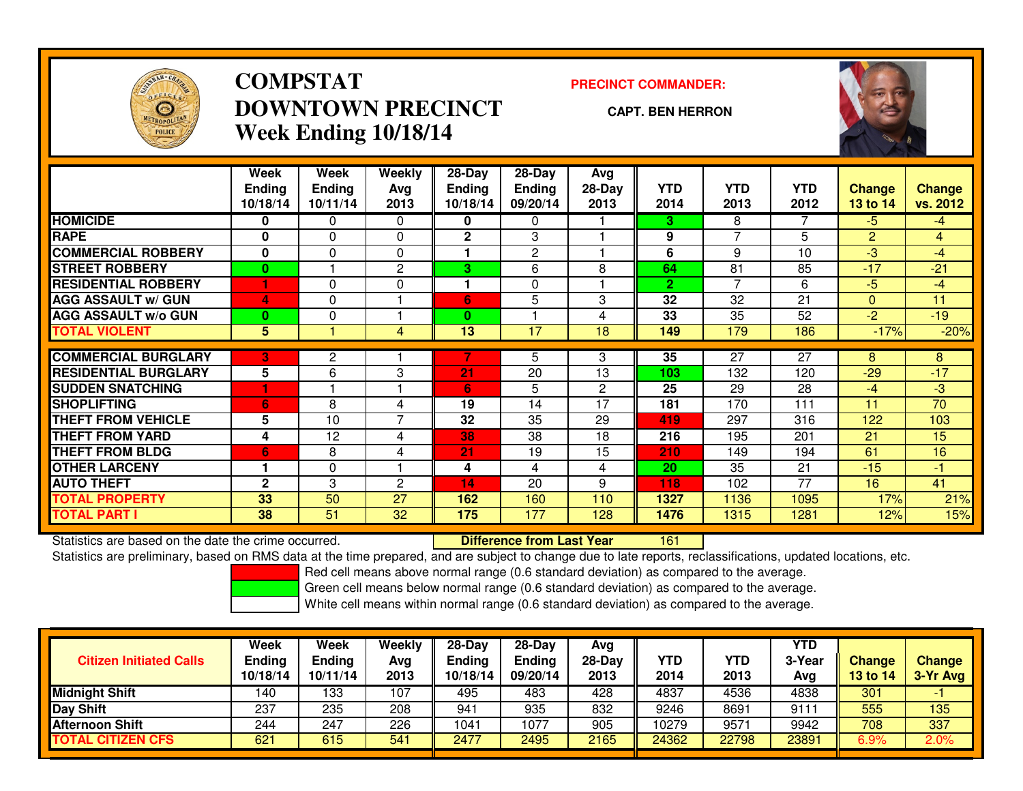

# **COMPSTATDOWNTOWN PRECINCTWeek Ending 10/18/14**

### **PRECINCT COMMANDER:**

#### **CAPT. BEN HERRON**

<sup>161</sup>



|                             | Week          | Week          | Weekly         | $28-Day$        | $28$ -Day     | Avg            |              |                 |                 |               |               |
|-----------------------------|---------------|---------------|----------------|-----------------|---------------|----------------|--------------|-----------------|-----------------|---------------|---------------|
|                             | <b>Ending</b> | <b>Ending</b> | Avg            | Ending          | <b>Ending</b> | $28-Day$       | <b>YTD</b>   | <b>YTD</b>      | <b>YTD</b>      | <b>Change</b> | <b>Change</b> |
|                             | 10/18/14      | 10/11/14      | 2013           | 10/18/14        | 09/20/14      | 2013           | 2014         | 2013            | 2012            | 13 to 14      | vs. 2012      |
| <b>HOMICIDE</b>             | 0             | 0             | 0              | 0               | 0             |                | 3.           | 8               |                 | $-5$          | $-4$          |
| <b>RAPE</b>                 | $\bf{0}$      | 0             | $\Omega$       | $\mathbf{2}$    | 3             |                | 9            | $\overline{7}$  | 5               | 2             | 4             |
| <b>COMMERCIAL ROBBERY</b>   | $\bf{0}$      | 0             | $\Omega$       |                 | 2             |                | 6            | 9               | 10              | $-3$          | $-4$          |
| <b>STREET ROBBERY</b>       | 0             |               | 2              | 3               | 6             | 8              | 64           | 81              | 85              | $-17$         | $-21$         |
| <b>RESIDENTIAL ROBBERY</b>  | и             | 0             | $\Omega$       |                 | 0             |                | $\mathbf{2}$ | $\overline{7}$  | 6               | $-5$          | $-4$          |
| <b>AGG ASSAULT w/ GUN</b>   | 4             | 0             |                | 6               | 5             | 3              | 32           | 32              | 21              | $\Omega$      | 11            |
| <b>AGG ASSAULT w/o GUN</b>  | 0             | 0             |                | 0               |               | 4              | 33           | 35              | 52              | $-2$          | $-19$         |
| <b>TOTAL VIOLENT</b>        | 5             |               | $\overline{4}$ | $\overline{13}$ | 17            | 18             | 149          | 179             | 186             | $-17%$        | $-20%$        |
|                             |               |               |                |                 |               |                |              |                 |                 |               |               |
| <b>COMMERCIAL BURGLARY</b>  | 3             | 2             |                |                 | 5             | 3              | 35           | $\overline{27}$ | $\overline{27}$ | 8             | 8             |
| <b>RESIDENTIAL BURGLARY</b> | 5             | 6             | 3              | 21              | 20            | 13             | 103          | 132             | 120             | $-29$         | $-17$         |
| <b>SUDDEN SNATCHING</b>     |               |               |                | 6               | 5             | $\overline{2}$ | 25           | 29              | 28              | $-4$          | $-3$          |
| <b>SHOPLIFTING</b>          | 6             | 8             | 4              | 19              | 14            | 17             | 181          | 170             | 111             | 11            | 70            |
| <b>THEFT FROM VEHICLE</b>   | 5             | 10            | 7              | 32              | 35            | 29             | 419          | 297             | 316             | 122           | 103           |
| <b>THEFT FROM YARD</b>      | 4             | 12            | 4              | 38              | 38            | 18             | 216          | 195             | 201             | 21            | 15            |
| <b>THEFT FROM BLDG</b>      | 6             | 8             | 4              | 21              | 19            | 15             | 210          | 149             | 194             | 61            | 16            |
| <b>OTHER LARCENY</b>        | 1             | $\Omega$      |                | 4               | 4             | 4              | 20           | 35              | 21              | $-15$         | $-1$          |
| <b>AUTO THEFT</b>           | $\mathbf{2}$  | 3             | 2              | 14              | 20            | 9              | 118          | 102             | 77              | 16            | 41            |
| <b>TOTAL PROPERTY</b>       | 33            | 50            | 27             | 162             | 160           | 110            | 1327         | 1136            | 1095            | 17%           | 21%           |
| <b>TOTAL PART I</b>         | 38            | 51            | 32             | 175             | 177           | 128            | 1476         | 1315            | 1281            | 12%           | 15%           |

Statistics are based on the date the crime occurred. **Difference from Last Year** 

Statistics are preliminary, based on RMS data at the time prepared, and are subject to change due to late reports, reclassifications, updated locations, etc.

Red cell means above normal range (0.6 standard deviation) as compared to the average.

Green cell means below normal range (0.6 standard deviation) as compared to the average.

| <b>Citizen Initiated Calls</b> | Week<br><b>Ending</b><br>10/18/14 | Week<br><b>Ending</b><br>10/11/14 | Weekly<br>Avg<br>2013 | $28-Day$<br><b>Ending</b><br>10/18/14 | 28-Day<br><b>Ending</b><br>09/20/14 | Avg<br>28-Day<br>2013 | YTD<br>2014 | <b>YTD</b><br>2013 | <b>YTD</b><br>3-Year<br>Avg | <b>Change</b><br>13 to 14 | <b>Change</b><br>3-Yr Avg |
|--------------------------------|-----------------------------------|-----------------------------------|-----------------------|---------------------------------------|-------------------------------------|-----------------------|-------------|--------------------|-----------------------------|---------------------------|---------------------------|
| <b>Midnight Shift</b>          | 140                               | 133                               | 107                   | 495                                   | 483                                 | 428                   | 4837        | 4536               | 4838                        | 301                       |                           |
| Day Shift                      | 237                               | 235                               | 208                   | 941                                   | 935                                 | 832                   | 9246        | 8691               | 9111                        | 555                       | 135                       |
| <b>Afternoon Shift</b>         | 244                               | 247                               | 226                   | 1041                                  | 1077                                | 905                   | 10279       | 9571               | 9942                        | 708                       | 337                       |
| <b>TOTAL CITIZEN CFS</b>       | 621                               | 615                               | 541                   | 2477                                  | 2495                                | 2165                  | 24362       | 22798              | 23891                       | 6.9%                      | 2.0%                      |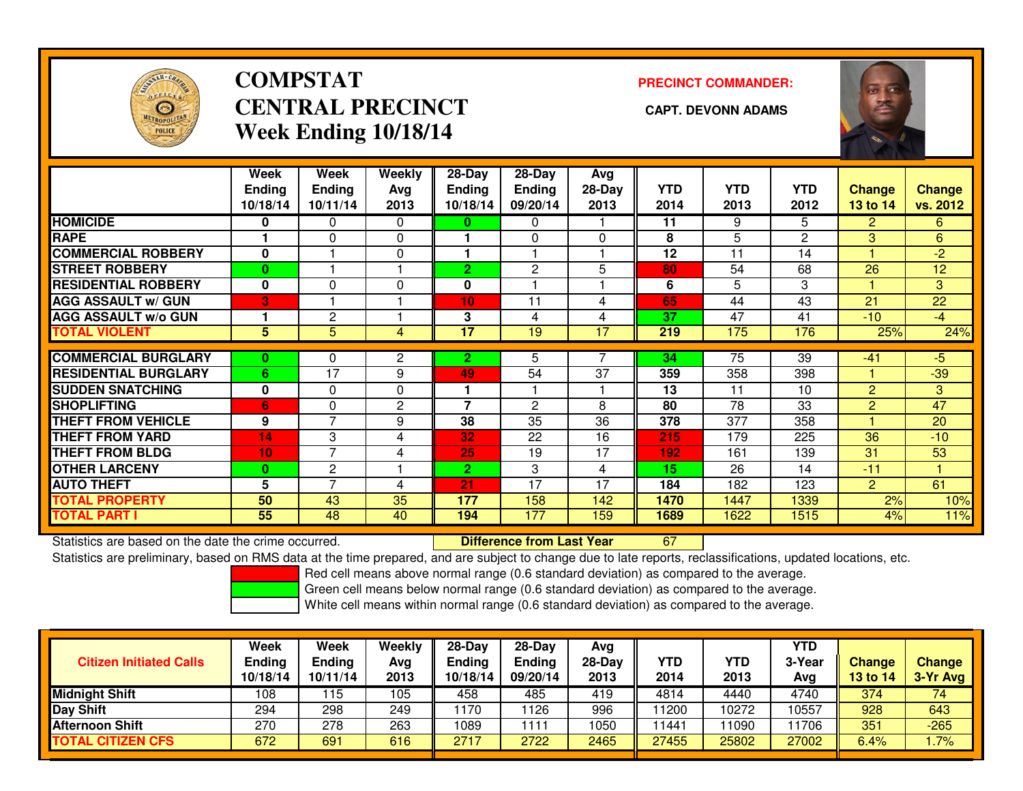

# **COMPSTATCENTRAL PRECINCT** CAPT. DEVONN ADAMS **Week Ending 10/18/14**

**PRECINCT COMMANDER:**



|                             | Week<br><b>Ending</b><br>10/18/14 | Week<br><b>Ending</b><br>10/11/14 | Weekly<br>Avg<br>2013 | 28-Day<br><b>Ending</b><br>10/18/14 | $28$ -Day<br><b>Ending</b><br>09/20/14 | Avg<br>$28-Day$<br>2013 | <b>YTD</b><br>2014 | <b>YTD</b><br>2013 | <b>YTD</b><br>2012 | <b>Change</b><br>13 to 14 | <b>Change</b><br>vs. 2012 |
|-----------------------------|-----------------------------------|-----------------------------------|-----------------------|-------------------------------------|----------------------------------------|-------------------------|--------------------|--------------------|--------------------|---------------------------|---------------------------|
| <b>HOMICIDE</b>             | 0                                 | 0                                 | $\Omega$              | $\bf{0}$                            | 0                                      |                         | 11                 | 9                  | 5                  | $\overline{2}$            | 6.                        |
| <b>RAPE</b>                 |                                   | $\Omega$                          | $\Omega$              |                                     | $\Omega$                               | $\Omega$                | 8                  | 5                  | $\mathbf{2}$       | 3                         | 6                         |
| <b>COMMERCIAL ROBBERY</b>   | $\bf{0}$                          |                                   | 0                     |                                     |                                        |                         | 12                 | 11                 | 14                 |                           | $-2$                      |
| <b>STREET ROBBERY</b>       | $\bf{0}$                          |                                   |                       | 2                                   | $\mathbf{2}$                           | 5                       | 80                 | 54                 | 68                 | 26                        | 12                        |
| <b>RESIDENTIAL ROBBERY</b>  | $\bf{0}$                          | $\Omega$                          | $\Omega$              | 0                                   |                                        |                         | 6                  | 5                  | 3                  |                           | 3                         |
| <b>AGG ASSAULT w/ GUN</b>   | 3                                 |                                   |                       | 10                                  | 11                                     | 4                       | 65                 | 44                 | 43                 | 21                        | 22                        |
| <b>AGG ASSAULT w/o GUN</b>  |                                   | 2                                 |                       | 3                                   | 4                                      | 4                       | 37                 | 47                 | 41                 | $-10$                     | $-4$                      |
| <b>TOTAL VIOLENT</b>        | 5                                 | 5                                 | 4                     | 17                                  | 19                                     | 17                      | 219                | 175                | 176                | 25%                       | 24%                       |
|                             |                                   |                                   |                       |                                     |                                        |                         |                    |                    |                    |                           |                           |
| <b>COMMERCIAL BURGLARY</b>  | $\bf{0}$                          | 0                                 | 2                     | 2                                   | 5                                      |                         | 34                 | 75                 | $\overline{39}$    | $-41$                     | $-5$                      |
| <b>RESIDENTIAL BURGLARY</b> | 6                                 | 17                                | 9                     | 49                                  | 54                                     | 37                      | 359                | 358                | 398                |                           | $-39$                     |
| <b>SUDDEN SNATCHING</b>     | $\bf{0}$                          | 0                                 | 0                     |                                     |                                        |                         | 13                 | 11                 | 10                 | $\overline{2}$            | 3                         |
| <b>SHOPLIFTING</b>          | 6                                 | $\Omega$                          | $\overline{2}$        | 7                                   | $\overline{2}$                         | 8                       | 80                 | 78                 | 33                 | 2                         | 47                        |
| <b>THEFT FROM VEHICLE</b>   | 9                                 | 7                                 | 9                     | 38                                  | 35                                     | 36                      | 378                | 377                | 358                |                           | 20                        |
| <b>THEFT FROM YARD</b>      | 14                                | 3                                 | 4                     | 32                                  | 22                                     | 16                      | 215                | 179                | 225                | 36                        | $-10$                     |
| <b>THEFT FROM BLDG</b>      | 10                                | $\overline{7}$                    | 4                     | 25                                  | 19                                     | 17                      | 192                | 161                | 139                | 31                        | 53                        |
| <b>OTHER LARCENY</b>        | $\bf{0}$                          | $\overline{c}$                    |                       | 2.                                  | 3                                      | 4                       | 15                 | 26                 | 14                 | $-11$                     |                           |
| <b>AUTO THEFT</b>           | 5                                 | 7                                 | 4                     | 21                                  | 17                                     | 17                      | 184                | 182                | 123                | $\overline{2}$            | 61                        |
| <b>TOTAL PROPERTY</b>       | 50                                | 43                                | 35                    | 177                                 | 158                                    | 142                     | 1470               | 1447               | 1339               | 2%                        | 10%                       |
| <b>TOTAL PART I</b>         | 55                                | 48                                | 40                    | 194                                 | 177                                    | 159                     | 1689               | 1622               | 1515               | 4%                        | 11%                       |

Statistics are based on the date the crime occurred. **Difference from Last Year** 

Statistics are based on the date the crime occurred. **Extence to the Unifference from Last Year the Statistics**<br>Statistics are preliminary, based on RMS data at the time prepared, and are subject to change due to late repo

Red cell means above normal range (0.6 standard deviation) as compared to the average.

Green cell means below normal range (0.6 standard deviation) as compared to the average.

| <b>Citizen Initiated Calls</b> | Week<br><b>Ending</b><br>10/18/14 | Week<br><b>Ending</b><br>10/11/14 | Weekly<br>Avg<br>2013 | $28 - Day$<br>Ending<br>10/18/14 | $28 - Day$<br><b>Ending</b><br>09/20/14 | Avg<br>28-Day<br>2013 | <b>YTD</b><br>2014 | YTD<br>2013 | YTD<br>3-Year<br>Ava | <b>Change</b><br>13 to 14 | <b>Change</b><br>3-Yr Avg |
|--------------------------------|-----------------------------------|-----------------------------------|-----------------------|----------------------------------|-----------------------------------------|-----------------------|--------------------|-------------|----------------------|---------------------------|---------------------------|
| <b>Midnight Shift</b>          | 108                               | 115                               | 105                   | 458                              | 485                                     | 419                   | 4814               | 4440        | 4740                 | 374                       | 74                        |
| <b>Day Shift</b>               | 294                               | 298                               | 249                   | 1170                             | 126                                     | 996                   | 11200              | 10272       | 0557                 | 928                       | 643                       |
| <b>Afternoon Shift</b>         | 270                               | 278                               | 263                   | 1089                             | 111                                     | 1050                  | 11441              | 1090        | 11706                | 351                       | $-265$                    |
| <b>TOTAL CITIZEN CFS</b>       | 672                               | 691                               | 616                   | 2717                             | 2722                                    | 2465                  | 27455              | 25802       | 27002                | 6.4%                      | .7%                       |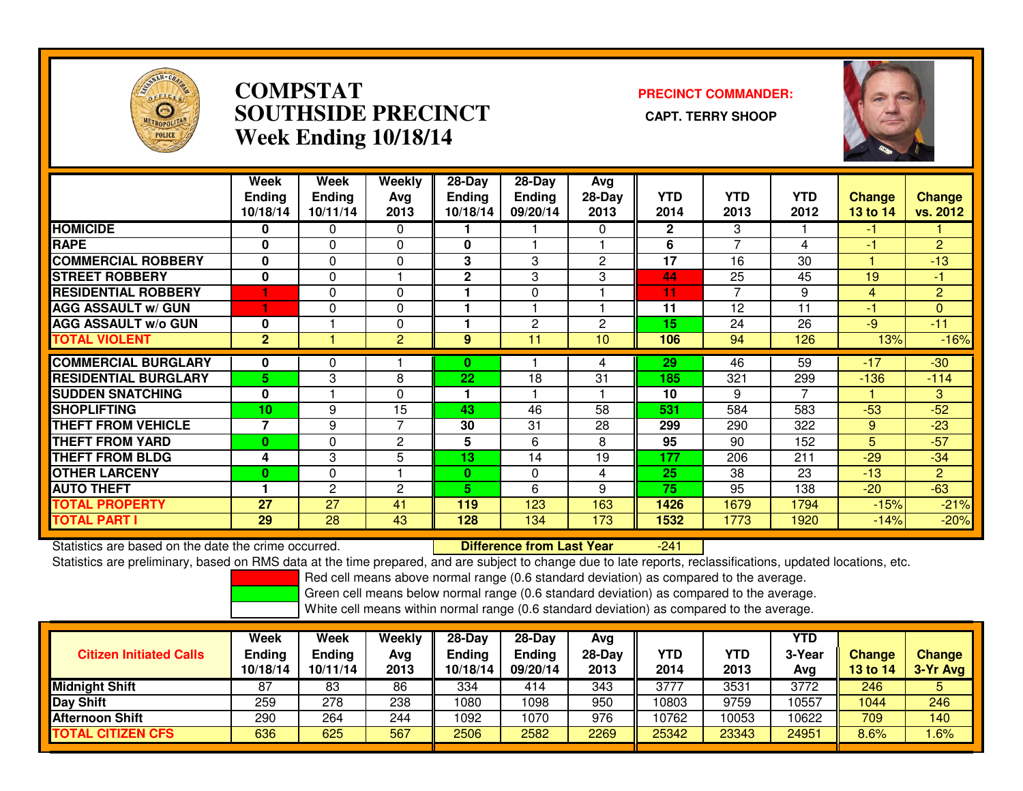

## **COMPSTAT PRECINCT COMMANDER: SOUTHSIDE PRECINCT CAPT. TERRY SHOOPWeek Ending 10/18/14**



|                             | <b>Week</b><br><b>Ending</b> | Week<br><b>Ending</b> | <b>Weekly</b>  | $28$ -Day<br><b>Ending</b> | $28-Day$<br><b>Ending</b> | Avg<br>28-Day | <b>YTD</b>   | <b>YTD</b>     | <b>YTD</b> | Change   | <b>Change</b>  |
|-----------------------------|------------------------------|-----------------------|----------------|----------------------------|---------------------------|---------------|--------------|----------------|------------|----------|----------------|
|                             | 10/18/14                     | 10/11/14              | Avg<br>2013    | 10/18/14                   | 09/20/14                  | 2013          | 2014         | 2013           | 2012       | 13 to 14 | vs. 2012       |
| <b>HOMICIDE</b>             | 0                            | 0                     | $\Omega$       |                            |                           | $\Omega$      | $\mathbf{2}$ | 3              |            | -1       |                |
| <b>RAPE</b>                 | 0                            | $\Omega$              | $\Omega$       | $\mathbf{0}$               |                           |               | 6            | $\overline{7}$ | 4          | -1       | $\overline{2}$ |
| <b>COMMERCIAL ROBBERY</b>   | 0                            | $\Omega$              | $\Omega$       | 3                          | 3                         | 2             | 17           | 16             | 30         |          | $-13$          |
| <b>STREET ROBBERY</b>       | 0                            | 0                     |                | $\mathbf 2$                | 3                         | 3             | 44           | 25             | 45         | 19       | $-1$           |
| <b>RESIDENTIAL ROBBERY</b>  |                              | $\Omega$              | $\Omega$       |                            | $\Omega$                  |               | 11           | 7              | 9          | 4        | $\overline{2}$ |
| <b>AGG ASSAULT w/ GUN</b>   |                              | $\Omega$              | $\Omega$       |                            |                           |               | 11           | 12             | 11         | -1       | $\mathbf{0}$   |
| <b>AGG ASSAULT w/o GUN</b>  | $\bf{0}$                     |                       | $\Omega$       |                            | 2                         | 2             | 15           | 24             | 26         | $-9$     | $-11$          |
| <b>TOTAL VIOLENT</b>        | $\overline{2}$               |                       | $\overline{2}$ | 9                          | 11                        | 10            | 106          | 94             | 126        | 13%      | $-16%$         |
| <b>COMMERCIAL BURGLARY</b>  | 0                            | 0                     |                | 0                          |                           | 4             | 29           | 46             | 59         | $-17$    | $-30$          |
| <b>RESIDENTIAL BURGLARY</b> | 5.                           | 3                     | 8              | 22                         | 18                        | 31            | 185          | 321            | 299        | $-136$   | $-114$         |
| <b>SUDDEN SNATCHING</b>     | $\mathbf{0}$                 |                       | $\Omega$       |                            |                           |               | 10           | 9              | 7          |          | 3              |
| <b>ISHOPLIFTING</b>         | 10                           | 9                     | 15             | 43                         | 46                        | 58            | 531          | 584            | 583        | $-53$    | $-52$          |
| <b>THEFT FROM VEHICLE</b>   | $\overline{\phantom{a}}$     | 9                     | 7              | 30                         | 31                        | 28            | 299          | 290            | 322        | 9        | $-23$          |
| <b>THEFT FROM YARD</b>      | $\bf{0}$                     | 0                     | 2              | 5                          | 6                         | 8             | 95           | 90             | 152        | 5        | $-57$          |
| <b>THEFT FROM BLDG</b>      | 4                            | 3                     | 5              | 13                         | 14                        | 19            | 177          | 206            | 211        | $-29$    | $-34$          |
| <b>OTHER LARCENY</b>        | $\bf{0}$                     | $\Omega$              |                | $\mathbf{0}$               | $\Omega$                  | 4             | 25           | 38             | 23         | $-13$    | $\overline{2}$ |
| <b>AUTO THEFT</b>           |                              | 2                     | $\overline{c}$ | 5.                         | 6                         | 9             | 75           | 95             | 138        | $-20$    | $-63$          |
| <b>TOTAL PROPERTY</b>       | 27                           | 27                    | 41             | 119                        | 123                       | 163           | 1426         | 1679           | 1794       | $-15%$   | $-21%$         |
| <b>TOTAL PART I</b>         | 29                           | 28                    | 43             | 128                        | 134                       | 173           | 1532         | 1773           | 1920       | $-14%$   | $-20%$         |

Statistics are based on the date the crime occurred. **Difference from Last Year** 

-241

Statistics are preliminary, based on RMS data at the time prepared, and are subject to change due to late reports, reclassifications, updated locations, etc.

Red cell means above normal range (0.6 standard deviation) as compared to the average.

Green cell means below normal range (0.6 standard deviation) as compared to the average.

| <b>Citizen Initiated Calls</b> | Week<br><b>Ending</b><br>10/18/14 | Week<br><b>Ending</b><br>10/11/14 | Weekly<br>Avg<br>2013 | $28$ -Dav<br>Ending<br>10/18/14 | $28-Dav$<br><b>Ending</b><br>09/20/14 | Avg<br>$28-Day$<br>2013 | <b>YTD</b><br>2014 | YTD<br>2013 | <b>YTD</b><br>3-Year<br>Avg | <b>Change</b><br><b>13 to 14</b> | <b>Change</b><br>3-Yr Avg |
|--------------------------------|-----------------------------------|-----------------------------------|-----------------------|---------------------------------|---------------------------------------|-------------------------|--------------------|-------------|-----------------------------|----------------------------------|---------------------------|
| <b>Midnight Shift</b>          | 87                                | 83                                | 86                    | 334                             | 414                                   | 343                     | 3777               | 3531        | 3772                        | 246                              | 5                         |
| <b>Day Shift</b>               | 259                               | 278                               | 238                   | 1080                            | 1098                                  | 950                     | 10803              | 9759        | 10557                       | 1044                             | 246                       |
| <b>Afternoon Shift</b>         | 290                               | 264                               | 244                   | 1092                            | 1070                                  | 976                     | 10762              | 10053       | 10622                       | 709                              | 140                       |
| <b>TOTAL CITIZEN CFS</b>       | 636                               | 625                               | 567                   | 2506                            | 2582                                  | 2269                    | 25342              | 23343       | 24951                       | 8.6%                             | .6%                       |
|                                |                                   |                                   |                       |                                 |                                       |                         |                    |             |                             |                                  |                           |